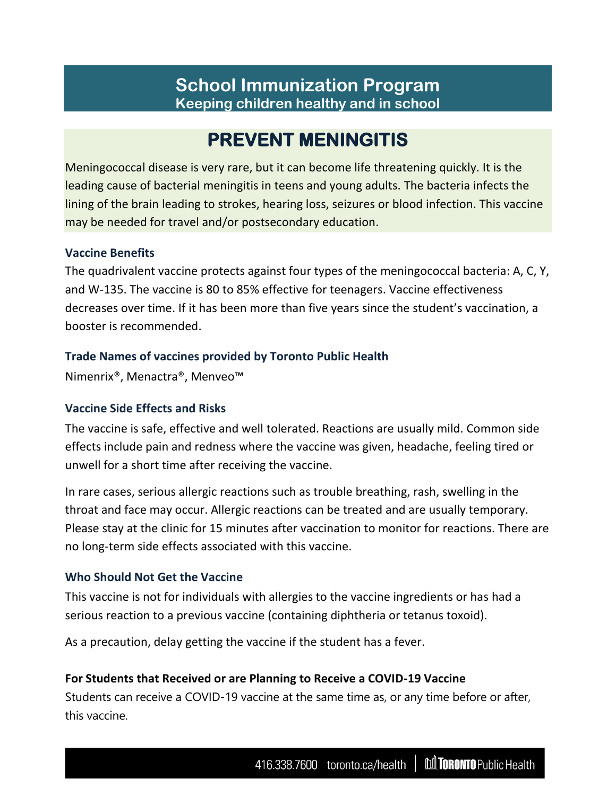# **School Immunization Program Keeping children healthy and in school**

# **PREVENT MENINGITIS**

Meningococcal disease is very rare, but it can become life threatening quickly. It is the leading cause of bacterial meningitis in teens and young adults. The bacteria infects the lining of the brain leading to strokes, hearing loss, seizures or blood infection. This vaccine may be needed for travel and/or postsecondary education.

#### **Vaccine Benefits**

The quadrivalent vaccine protects against four types of the meningococcal bacteria: A, C, Y, and W-135. The vaccine is 80 to 85% effective for teenagers. Vaccine effectiveness decreases over time. If it has been more than five years since the student's vaccination, a booster is recommended.

### **Trade Names of vaccines provided by Toronto Public Health**

Nimenrix®, Menactra®, Menveo™

# **Vaccine Side Effects and Risks**

The vaccine is safe, effective and well tolerated. Reactions are usually mild. Common side effects include pain and redness where the vaccine was given, headache, feeling tired or unwell for a short time after receiving the vaccine.

In rare cases, serious allergic reactions such as trouble breathing, rash, swelling in the throat and face may occur. Allergic reactions can be treated and are usually temporary. Please stay at the clinic for 15 minutes after vaccination to monitor for reactions. There are no long-term side effects associated with this vaccine.

#### **Who Should Not Get the Vaccine**

This vaccine is not for individuals with allergies to the vaccine ingredients or has had a serious reaction to a previous vaccine (containing diphtheria or tetanus toxoid).

As a precaution, delay getting the vaccine if the student has a fever.

# **For Students that Received or are Planning to Receive a COVID-19 Vaccine**

Students can receive a COVID-19 vaccine at the same time as, or any time before or after, this vaccine.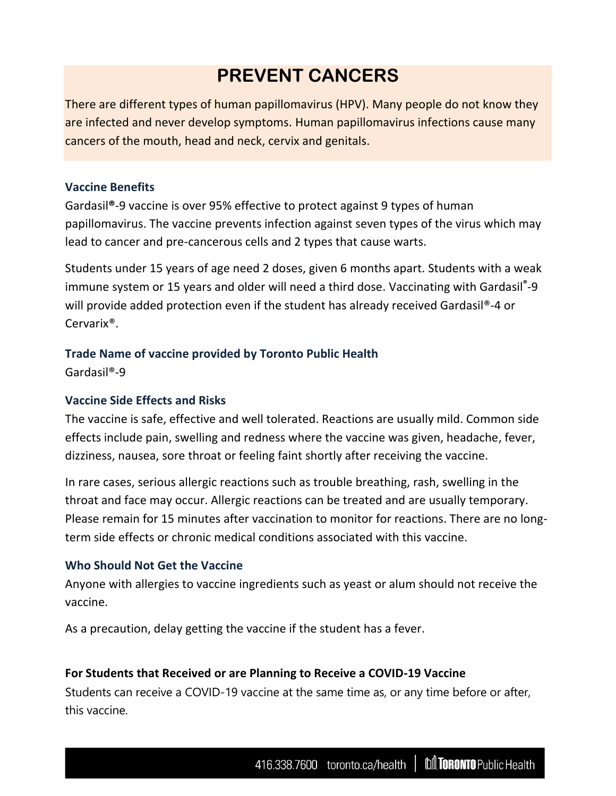# **PREVENT CANCERS**

There are different types of human papillomavirus (HPV). Many people do not know they are infected and never develop symptoms. Human papillomavirus infections cause many cancers of the mouth, head and neck, cervix and genitals.

### **Vaccine Benefits**

Gardasil**®**-9 vaccine is over 95% effective to protect against 9 types of human papillomavirus. The vaccine prevents infection against seven types of the virus which may lead to cancer and pre-cancerous cells and 2 types that cause warts.

Students under 15 years of age need 2 doses, given 6 months apart. Students with a weak immune system or 15 years and older will need a third dose. Vaccinating with Gardasil**®** -9 will provide added protection even if the student has already received Gardasil®-4 or Cervarix®.

# **Trade Name of vaccine provided by Toronto Public Health**

Gardasil®-9

# **Vaccine Side Effects and Risks**

The vaccine is safe, effective and well tolerated. Reactions are usually mild. Common side effects include pain, swelling and redness where the vaccine was given, headache, fever, dizziness, nausea, sore throat or feeling faint shortly after receiving the vaccine.

In rare cases, serious allergic reactions such as trouble breathing, rash, swelling in the throat and face may occur. Allergic reactions can be treated and are usually temporary. Please remain for 15 minutes after vaccination to monitor for reactions. There are no longterm side effects or chronic medical conditions associated with this vaccine.

# **Who Should Not Get the Vaccine**

Anyone with allergies to vaccine ingredients such as yeast or alum should not receive the vaccine.

As a precaution, delay getting the vaccine if the student has a fever.

# **For Students that Received or are Planning to Receive a COVID-19 Vaccine**

Students can receive a COVID-19 vaccine at the same time as, or any time before or after, this vaccine.